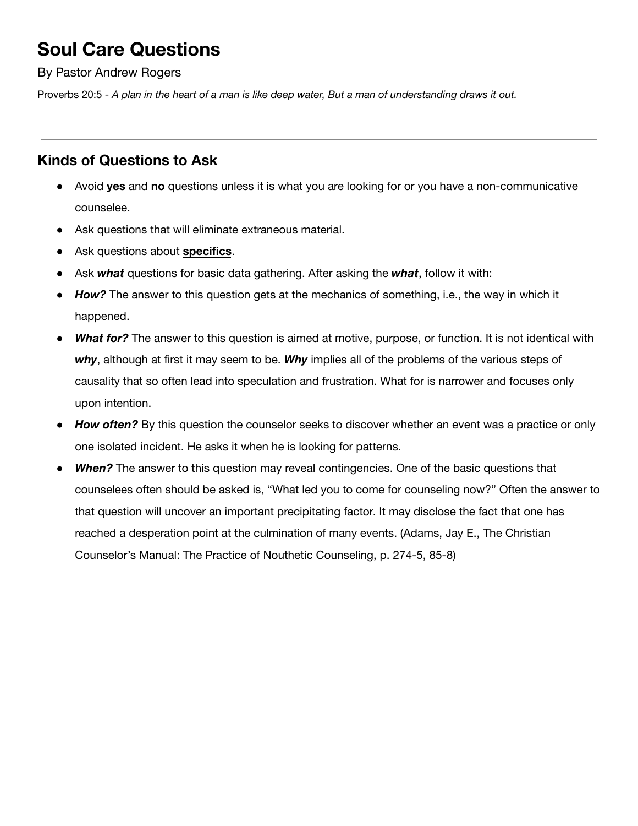# **Soul Care Questions**

By Pastor Andrew Rogers

Proverbs 20:5 - A plan in the heart of a man is like deep water, But a man of understanding draws it out.

# **Kinds of Questions to Ask**

- Avoid **yes** and **no** questions unless it is what you are looking for or you have a non-communicative counselee.
- Ask questions that will eliminate extraneous material.
- Ask questions about **specifics**.
- Ask *what* questions for basic data gathering. After asking the *what*, follow it with:
- *How?* The answer to this question gets at the mechanics of something, i.e., the way in which it happened.
- **What for?** The answer to this question is aimed at motive, purpose, or function. It is not identical with *why*, although at first it may seem to be. *Why* implies all of the problems of the various steps of causality that so often lead into speculation and frustration. What for is narrower and focuses only upon intention.
- *How often?* By this question the counselor seeks to discover whether an event was a practice or only one isolated incident. He asks it when he is looking for patterns.
- When? The answer to this question may reveal contingencies. One of the basic questions that counselees often should be asked is, "What led you to come for counseling now?" Often the answer to that question will uncover an important precipitating factor. It may disclose the fact that one has reached a desperation point at the culmination of many events. (Adams, Jay E., The Christian Counselor's Manual: The Practice of Nouthetic Counseling, p. 274-5, 85-8)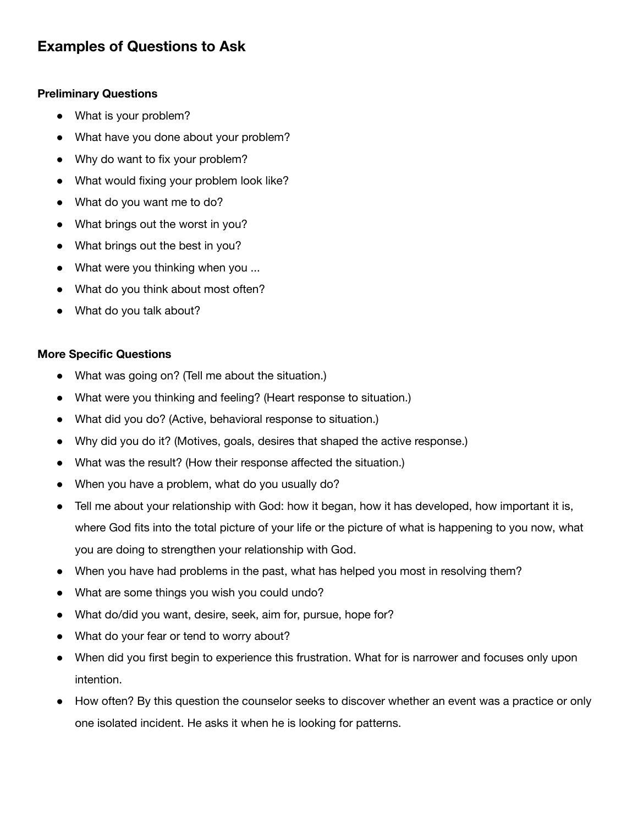## **Examples of Questions to Ask**

#### **Preliminary Questions**

- What is your problem?
- What have you done about your problem?
- Why do want to fix your problem?
- What would fixing your problem look like?
- What do you want me to do?
- What brings out the worst in you?
- What brings out the best in you?
- What were you thinking when you ...
- What do you think about most often?
- What do you talk about?

### **More Specific Questions**

- What was going on? (Tell me about the situation.)
- What were you thinking and feeling? (Heart response to situation.)
- What did you do? (Active, behavioral response to situation.)
- Why did you do it? (Motives, goals, desires that shaped the active response.)
- What was the result? (How their response affected the situation.)
- When you have a problem, what do you usually do?
- Tell me about your relationship with God: how it began, how it has developed, how important it is, where God fits into the total picture of your life or the picture of what is happening to you now, what you are doing to strengthen your relationship with God.
- When you have had problems in the past, what has helped you most in resolving them?
- What are some things you wish you could undo?
- What do/did you want, desire, seek, aim for, pursue, hope for?
- What do your fear or tend to worry about?
- When did you first begin to experience this frustration. What for is narrower and focuses only upon intention.
- How often? By this question the counselor seeks to discover whether an event was a practice or only one isolated incident. He asks it when he is looking for patterns.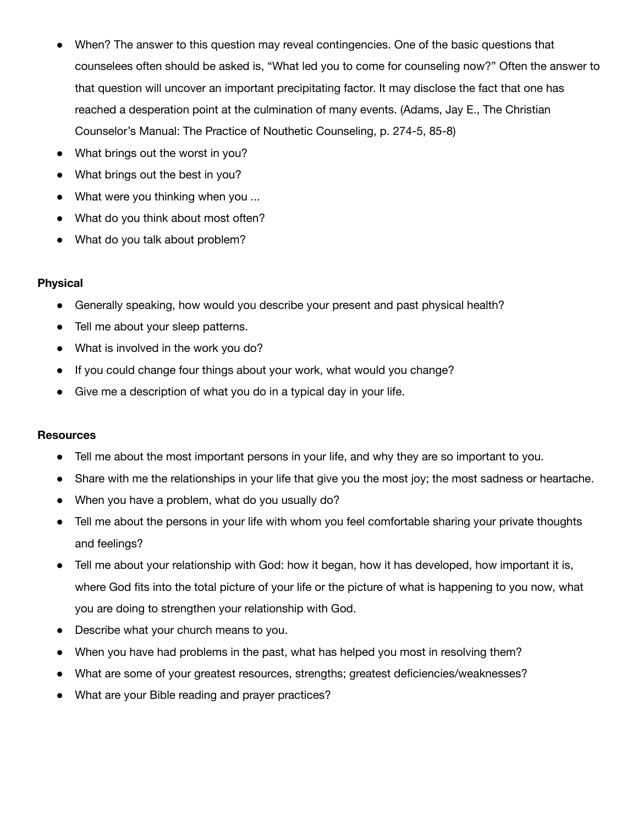- When? The answer to this question may reveal contingencies. One of the basic questions that counselees often should be asked is, "What led you to come for counseling now?" Often the answer to that question will uncover an important precipitating factor. It may disclose the fact that one has reached a desperation point at the culmination of many events. (Adams, Jay E., The Christian Counselor's Manual: The Practice of Nouthetic Counseling, p. 274-5, 85-8)
- What brings out the worst in you?
- What brings out the best in you?
- What were you thinking when you ...
- What do you think about most often?
- What do you talk about problem?

#### **Physical**

- Generally speaking, how would you describe your present and past physical health?
- Tell me about your sleep patterns.
- What is involved in the work you do?
- If you could change four things about your work, what would you change?
- Give me a description of what you do in a typical day in your life.

#### **Resources**

- Tell me about the most important persons in your life, and why they are so important to you.
- Share with me the relationships in your life that give you the most joy; the most sadness or heartache.
- When you have a problem, what do you usually do?
- Tell me about the persons in your life with whom you feel comfortable sharing your private thoughts and feelings?
- Tell me about your relationship with God: how it began, how it has developed, how important it is, where God fits into the total picture of your life or the picture of what is happening to you now, what you are doing to strengthen your relationship with God.
- Describe what your church means to you.
- When you have had problems in the past, what has helped you most in resolving them?
- What are some of your greatest resources, strengths; greatest deficiencies/weaknesses?
- What are your Bible reading and prayer practices?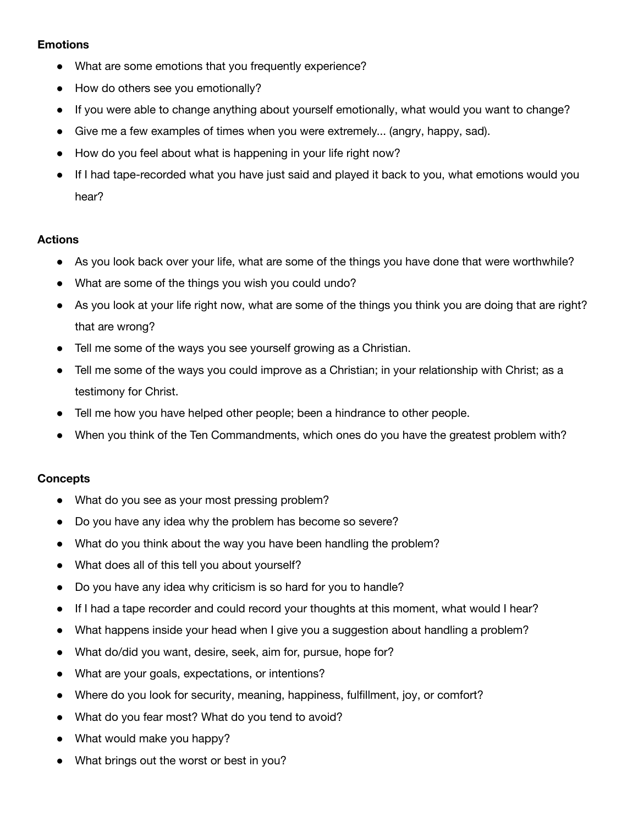#### **Emotions**

- What are some emotions that you frequently experience?
- How do others see you emotionally?
- If you were able to change anything about yourself emotionally, what would you want to change?
- Give me a few examples of times when you were extremely... (angry, happy, sad).
- How do you feel about what is happening in your life right now?
- If I had tape-recorded what you have just said and played it back to you, what emotions would you hear?

#### **Actions**

- As you look back over your life, what are some of the things you have done that were worthwhile?
- What are some of the things you wish you could undo?
- As you look at your life right now, what are some of the things you think you are doing that are right? that are wrong?
- Tell me some of the ways you see yourself growing as a Christian.
- Tell me some of the ways you could improve as a Christian; in your relationship with Christ; as a testimony for Christ.
- Tell me how you have helped other people; been a hindrance to other people.
- When you think of the Ten Commandments, which ones do you have the greatest problem with?

#### **Concepts**

- What do you see as your most pressing problem?
- Do you have any idea why the problem has become so severe?
- What do you think about the way you have been handling the problem?
- What does all of this tell you about yourself?
- Do you have any idea why criticism is so hard for you to handle?
- If I had a tape recorder and could record your thoughts at this moment, what would I hear?
- What happens inside your head when I give you a suggestion about handling a problem?
- What do/did you want, desire, seek, aim for, pursue, hope for?
- What are your goals, expectations, or intentions?
- Where do you look for security, meaning, happiness, fulfillment, joy, or comfort?
- What do you fear most? What do you tend to avoid?
- What would make you happy?
- What brings out the worst or best in you?